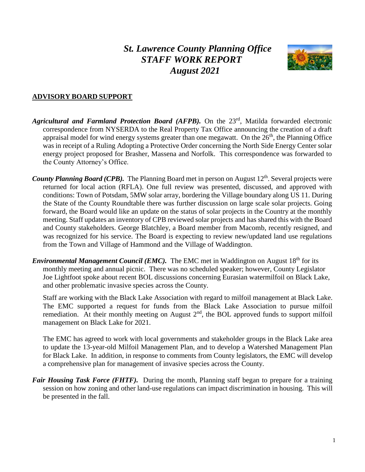# *St. Lawrence County Planning Office STAFF WORK REPORT August 2021*



#### **ADVISORY BOARD SUPPORT**

- Agricultural and Farmland Protection Board (AFPB). On the 23<sup>rd</sup>, Matilda forwarded electronic correspondence from NYSERDA to the Real Property Tax Office announcing the creation of a draft appraisal model for wind energy systems greater than one megawatt. On the  $26<sup>th</sup>$ , the Planning Office was in receipt of a Ruling Adopting a Protective Order concerning the North Side Energy Center solar energy project proposed for Brasher, Massena and Norfolk. This correspondence was forwarded to the County Attorney's Office.
- *County Planning Board (CPB)*. The Planning Board met in person on August 12<sup>th</sup>. Several projects were returned for local action (RFLA). One full review was presented, discussed, and approved with conditions: Town of Potsdam, 5MW solar array, bordering the Village boundary along US 11. During the State of the County Roundtable there was further discussion on large scale solar projects. Going forward, the Board would like an update on the status of solar projects in the Country at the monthly meeting. Staff updates an inventory of CPB reviewed solar projects and has shared this with the Board and County stakeholders. George Blatchley, a Board member from Macomb, recently resigned, and was recognized for his service. The Board is expecting to review new/updated land use regulations from the Town and Village of Hammond and the Village of Waddington.
- *Environmental Management Council (EMC).* The EMC met in Waddington on August 18<sup>th</sup> for its monthly meeting and annual picnic. There was no scheduled speaker; however, County Legislator Joe Lightfoot spoke about recent BOL discussions concerning Eurasian watermilfoil on Black Lake, and other problematic invasive species across the County.

Staff are working with the Black Lake Association with regard to milfoil management at Black Lake. The EMC supported a request for funds from the Black Lake Association to pursue milfoil remediation. At their monthly meeting on August 2<sup>nd</sup>, the BOL approved funds to support milfoil management on Black Lake for 2021.

The EMC has agreed to work with local governments and stakeholder groups in the Black Lake area to update the 13-year-old Milfoil Management Plan, and to develop a Watershed Management Plan for Black Lake. In addition, in response to comments from County legislators, the EMC will develop a comprehensive plan for management of invasive species across the County.

*Fair Housing Task Force (FHTF).* During the month, Planning staff began to prepare for a training session on how zoning and other land-use regulations can impact discrimination in housing. This will be presented in the fall.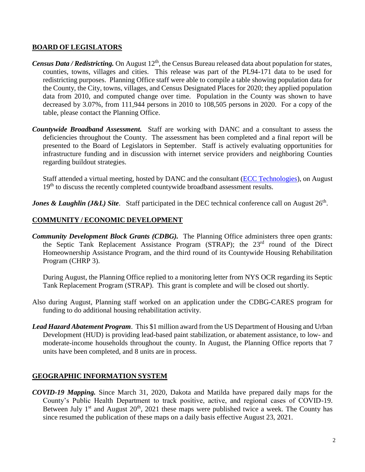#### **BOARD OF LEGISLATORS**

- *Census Data / Redistricting.* On August 12<sup>th</sup>, the Census Bureau released data about population for states, counties, towns, villages and cities. This release was part of the PL94-171 data to be used for redistricting purposes. Planning Office staff were able to compile a table showing population data for the County, the City, towns, villages, and Census Designated Places for 2020; they applied population data from 2010, and computed change over time. Population in the County was shown to have decreased by 3.07%, from 111,944 persons in 2010 to 108,505 persons in 2020. For a copy of the table, please contact the Planning Office.
- *Countywide Broadband Assessment.* Staff are working with DANC and a consultant to assess the deficiencies throughout the County. The assessment has been completed and a final report will be presented to the Board of Legislators in September. Staff is actively evaluating opportunities for infrastructure funding and in discussion with internet service providers and neighboring Counties regarding buildout strategies.

Staff attended a virtual meeting, hosted by DANC and the consultant [\(ECC Technologies\)](https://www.ecctec.com/), on August 19<sup>th</sup> to discuss the recently completed countywide broadband assessment results.

*Jones & Laughlin (J&L) Site.* Staff participated in the DEC technical conference call on August 26<sup>th</sup>.

### **COMMUNITY / ECONOMIC DEVELOPMENT**

*Community Development Block Grants (CDBG).* The Planning Office administers three open grants: the Septic Tank Replacement Assistance Program (STRAP); the 23rd round of the Direct Homeownership Assistance Program, and the third round of its Countywide Housing Rehabilitation Program (CHRP 3).

During August, the Planning Office replied to a monitoring letter from NYS OCR regarding its Septic Tank Replacement Program (STRAP). This grant is complete and will be closed out shortly.

- Also during August, Planning staff worked on an application under the CDBG-CARES program for funding to do additional housing rehabilitation activity.
- *Lead Hazard Abatement Program*. This \$1 million award from the US Department of Housing and Urban Development (HUD) is providing lead-based paint stabilization, or abatement assistance, to low- and moderate-income households throughout the county. In August, the Planning Office reports that 7 units have been completed, and 8 units are in process.

### **GEOGRAPHIC INFORMATION SYSTEM**

*COVID-19 Mapping.* Since March 31, 2020, Dakota and Matilda have prepared daily maps for the County's Public Health Department to track positive, active, and regional cases of COVID-19. Between July 1<sup>st</sup> and August 20<sup>th</sup>, 2021 these maps were published twice a week. The County has since resumed the publication of these maps on a daily basis effective August 23, 2021.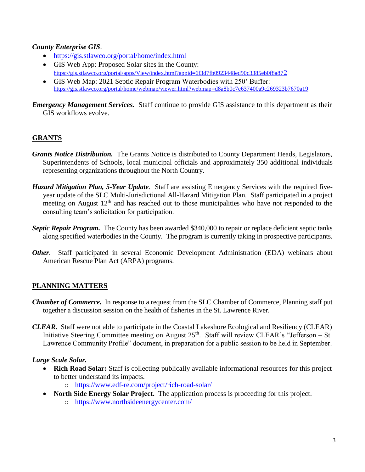### *County Enterprise GIS*.

- <https://gis.stlawco.org/portal/home/index.html>
- GIS Web App: Proposed Solar sites in the County: [https://gis.stlawco.org/portal/apps/View/index.html?appid=6f3d7fb0923448ed90c3385eb0f8a87](https://gis.stlawco.org/portal/apps/View/index.html?appid=6f3d7fb0923448ed90c3385eb0f8a872)2
- GIS Web Map: 2021 Septic Repair Program Waterbodies with 250' Buffer: <https://gis.stlawco.org/portal/home/webmap/viewer.html?webmap=d8a8b0c7e637400a9c269323b7670a19>

*Emergency Management Services.* Staff continue to provide GIS assistance to this department as their GIS workflows evolve.

# **GRANTS**

- *Grants Notice Distribution.* The Grants Notice is distributed to County Department Heads, Legislators, Superintendents of Schools, local municipal officials and approximately 350 additional individuals representing organizations throughout the North Country.
- *Hazard Mitigation Plan, 5-Year Update*. Staff are assisting Emergency Services with the required fiveyear update of the SLC Multi-Jurisdictional All-Hazard Mitigation Plan. Staff participated in a project meeting on August  $12<sup>th</sup>$  and has reached out to those municipalities who have not responded to the consulting team's solicitation for participation.
- *Septic Repair Program.* The County has been awarded \$340,000 to repair or replace deficient septic tanks along specified waterbodies in the County. The program is currently taking in prospective participants.
- *Other*. Staff participated in several Economic Development Administration (EDA) webinars about American Rescue Plan Act (ARPA) programs.

# **PLANNING MATTERS**

- *Chamber of Commerce.* In response to a request from the SLC Chamber of Commerce, Planning staff put together a discussion session on the health of fisheries in the St. Lawrence River.
- *CLEAR.* Staff were not able to participate in the Coastal Lakeshore Ecological and Resiliency (CLEAR) Initiative Steering Committee meeting on August  $25<sup>th</sup>$ . Staff will review CLEAR's "Jefferson – St. Lawrence Community Profile" document, in preparation for a public session to be held in September.

# *Large Scale Solar.*

- **Rich Road Solar:** Staff is collecting publically available informational resources for this project to better understand its impacts.
	- o <https://www.edf-re.com/project/rich-road-solar/>
- **North Side Energy Solar Project.** The application process is proceeding for this project. o <https://www.northsideenergycenter.com/>
- 3